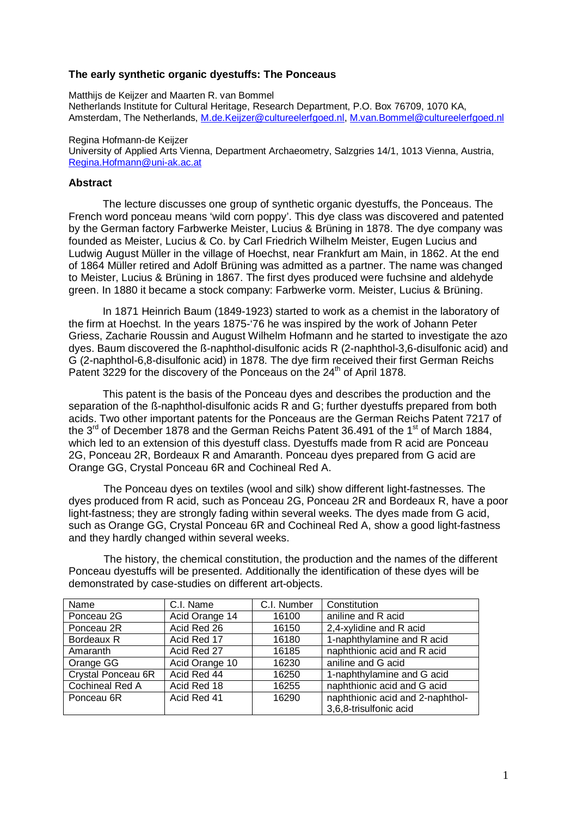## **The early synthetic organic dyestuffs: The Ponceaus**

Matthijs de Keijzer and Maarten R. van Bommel Netherlands Institute for Cultural Heritage, Research Department, P.O. Box 76709, 1070 KA, Amsterdam, The Netherlands, M.de.Keijzer@cultureelerfgoed.nl, M.van.Bommel@cultureelerfgoed.nl

## Regina Hofmann-de Keijzer

University of Applied Arts Vienna, Department Archaeometry, Salzgries 14/1, 1013 Vienna, Austria, Regina.Hofmann@uni-ak.ac.at

## **Abstract**

 The lecture discusses one group of synthetic organic dyestuffs, the Ponceaus. The French word ponceau means 'wild corn poppy'. This dye class was discovered and patented by the German factory Farbwerke Meister, Lucius & Brüning in 1878. The dye company was founded as Meister, Lucius & Co. by Carl Friedrich Wilhelm Meister, Eugen Lucius and Ludwig August Müller in the village of Hoechst, near Frankfurt am Main, in 1862. At the end of 1864 Müller retired and Adolf Brüning was admitted as a partner. The name was changed to Meister, Lucius & Brüning in 1867. The first dyes produced were fuchsine and aldehyde green. In 1880 it became a stock company: Farbwerke vorm. Meister, Lucius & Brüning.

 In 1871 Heinrich Baum (1849-1923) started to work as a chemist in the laboratory of the firm at Hoechst. In the years 1875-'76 he was inspired by the work of Johann Peter Griess, Zacharie Roussin and August Wilhelm Hofmann and he started to investigate the azo dyes. Baum discovered the ß-naphthol-disulfonic acids R (2-naphthol-3,6-disulfonic acid) and G (2-naphthol-6,8-disulfonic acid) in 1878. The dye firm received their first German Reichs Patent 3229 for the discovery of the Ponceaus on the 24<sup>th</sup> of April 1878.

 This patent is the basis of the Ponceau dyes and describes the production and the separation of the ß-naphthol-disulfonic acids R and G; further dyestuffs prepared from both acids. Two other important patents for the Ponceaus are the German Reichs Patent 7217 of the  $3<sup>rd</sup>$  of December 1878 and the German Reichs Patent 36.491 of the 1<sup>st</sup> of March 1884. which led to an extension of this dyestuff class. Dyestuffs made from R acid are Ponceau 2G, Ponceau 2R, Bordeaux R and Amaranth. Ponceau dyes prepared from G acid are Orange GG, Crystal Ponceau 6R and Cochineal Red A.

 The Ponceau dyes on textiles (wool and silk) show different light-fastnesses. The dyes produced from R acid, such as Ponceau 2G, Ponceau 2R and Bordeaux R, have a poor light-fastness; they are strongly fading within several weeks. The dyes made from G acid, such as Orange GG, Crystal Ponceau 6R and Cochineal Red A, show a good light-fastness and they hardly changed within several weeks.

 The history, the chemical constitution, the production and the names of the different Ponceau dyestuffs will be presented. Additionally the identification of these dyes will be demonstrated by case-studies on different art-objects.

| Name               | C.I. Name      | C.I. Number | Constitution                     |
|--------------------|----------------|-------------|----------------------------------|
| Ponceau 2G         | Acid Orange 14 | 16100       | aniline and R acid               |
| Ponceau 2R         | Acid Red 26    | 16150       | 2,4-xylidine and R acid          |
| Bordeaux R         | Acid Red 17    | 16180       | 1-naphthylamine and R acid       |
| Amaranth           | Acid Red 27    | 16185       | naphthionic acid and R acid      |
| Orange GG          | Acid Orange 10 | 16230       | aniline and G acid               |
| Crystal Ponceau 6R | Acid Red 44    | 16250       | 1-naphthylamine and G acid       |
| Cochineal Red A    | Acid Red 18    | 16255       | naphthionic acid and G acid      |
| Ponceau 6R         | Acid Red 41    | 16290       | naphthionic acid and 2-naphthol- |
|                    |                |             | 3,6,8-trisulfonic acid           |